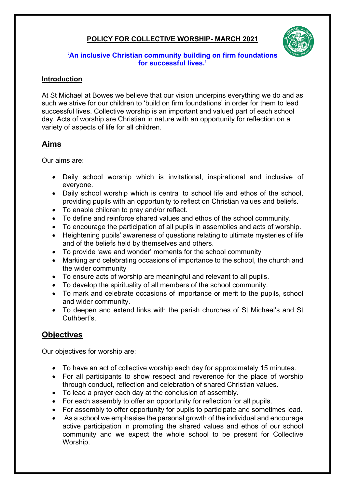## **POLICY FOR COLLECTIVE WORSHIP- MARCH 2021**



#### **'An inclusive Christian community building on firm foundations for successful lives.'**

#### **Introduction**

At St Michael at Bowes we believe that our vision underpins everything we do and as such we strive for our children to 'build on firm foundations' in order for them to lead successful lives. Collective worship is an important and valued part of each school day. Acts of worship are Christian in nature with an opportunity for reflection on a variety of aspects of life for all children.

## **Aims**

Our aims are:

- Daily school worship which is invitational, inspirational and inclusive of everyone.
- Daily school worship which is central to school life and ethos of the school, providing pupils with an opportunity to reflect on Christian values and beliefs.
- To enable children to pray and/or reflect.
- To define and reinforce shared values and ethos of the school community.
- To encourage the participation of all pupils in assemblies and acts of worship.
- Heightening pupils' awareness of questions relating to ultimate mysteries of life and of the beliefs held by themselves and others.
- To provide 'awe and wonder' moments for the school community
- Marking and celebrating occasions of importance to the school, the church and the wider community
- To ensure acts of worship are meaningful and relevant to all pupils.
- To develop the spirituality of all members of the school community.
- To mark and celebrate occasions of importance or merit to the pupils, school and wider community.
- To deepen and extend links with the parish churches of St Michael's and St Cuthbert's.

# **Objectives**

Our objectives for worship are:

- To have an act of collective worship each day for approximately 15 minutes.
- For all participants to show respect and reverence for the place of worship through conduct, reflection and celebration of shared Christian values.
- To lead a prayer each day at the conclusion of assembly.
- For each assembly to offer an opportunity for reflection for all pupils.
- For assembly to offer opportunity for pupils to participate and sometimes lead.
- As a school we emphasise the personal growth of the individual and encourage active participation in promoting the shared values and ethos of our school community and we expect the whole school to be present for Collective Worship.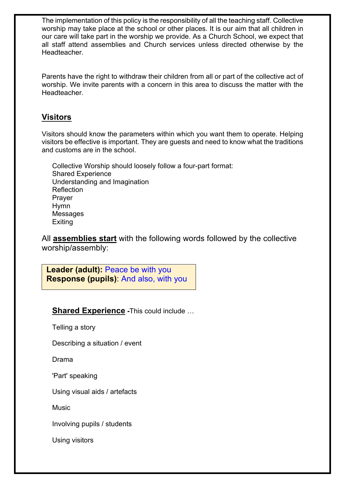The implementation of this policy is the responsibility of all the teaching staff. Collective worship may take place at the school or other places. It is our aim that all children in our care will take part in the worship we provide. As a Church School, we expect that all staff attend assemblies and Church services unless directed otherwise by the **Headteacher** 

Parents have the right to withdraw their children from all or part of the collective act of worship. We invite parents with a concern in this area to discuss the matter with the Headteacher.

## **Visitors**

Visitors should know the parameters within which you want them to operate. Helping visitors be effective is important. They are guests and need to know what the traditions and customs are in the school.

Collective Worship should loosely follow a four-part format: Shared Experience Understanding and Imagination **Reflection** Prayer Hymn Messages Exiting

All **assemblies start** with the following words followed by the collective worship/assembly:

**Leader (adult):** Peace be with you **Response (pupils)**: And also, with you

## **Shared Experience -**This could include …

Telling a story

Describing a situation / event

Drama

'Part' speaking

Using visual aids / artefacts

Music

Involving pupils / students

Using visitors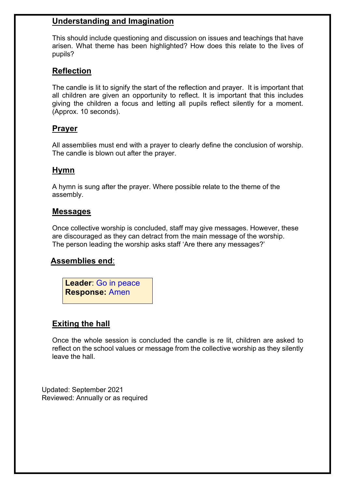### **Understanding and Imagination**

This should include questioning and discussion on issues and teachings that have arisen. What theme has been highlighted? How does this relate to the lives of pupils?

## **Reflection**

The candle is lit to signify the start of the reflection and prayer. It is important that all children are given an opportunity to reflect. It is important that this includes giving the children a focus and letting all pupils reflect silently for a moment. (Approx. 10 seconds).

#### **Prayer**

All assemblies must end with a prayer to clearly define the conclusion of worship. The candle is blown out after the prayer.

#### **Hymn**

A hymn is sung after the prayer. Where possible relate to the theme of the assembly.

#### **Messages**

Once collective worship is concluded, staff may give messages. However, these are discouraged as they can detract from the main message of the worship. The person leading the worship asks staff 'Are there any messages?'

#### **Assemblies end**:

**Leader**: Go in peace **Response:** Amen

#### **Exiting the hall**

Once the whole session is concluded the candle is re lit, children are asked to reflect on the school values or message from the collective worship as they silently leave the hall.

Updated: September 2021 Reviewed: Annually or as required